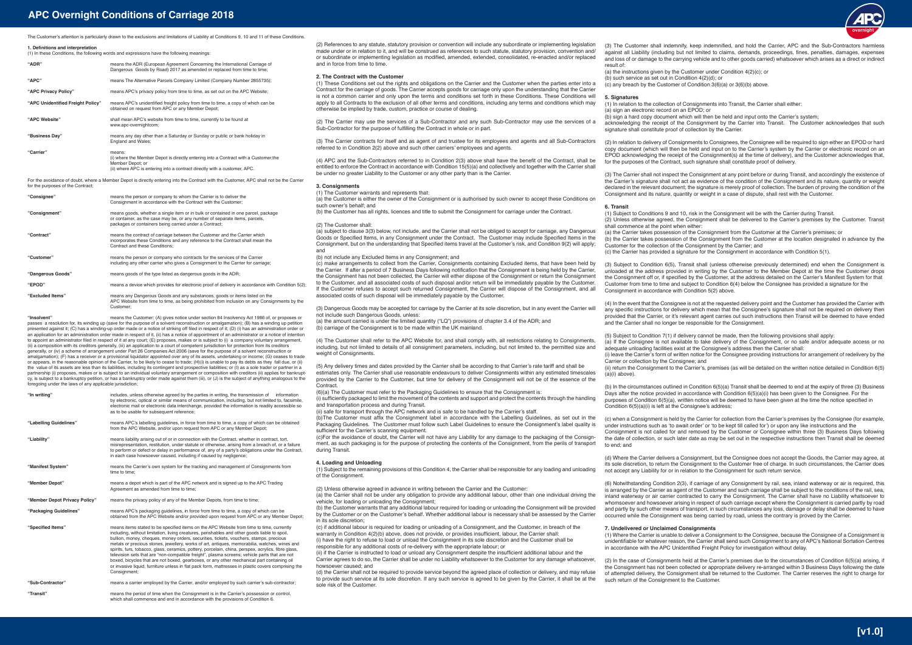**1. Definitions and interpretation**

The Customer's attention is particularly drawn to the exclusions and limitations of Liability at Conditions 9, 10 and 11 of these Conditions

| <b>1. Deminuons and merpretation</b><br>(1) In these Conditions, the following words and expressions have the following meanings: |                                                                                                                                                                                                 |
|-----------------------------------------------------------------------------------------------------------------------------------|-------------------------------------------------------------------------------------------------------------------------------------------------------------------------------------------------|
| "ADR"                                                                                                                             | means the ADR (European Agreement Concerning the International Carriage of<br>Dangerous Goods by Road) 2017 as amended or replaced from time to time;                                           |
| $"$ APC"                                                                                                                          | means The Alternative Parcels Company Limited (Company Number 2855735);                                                                                                                         |
| "APC Privacy Policy"                                                                                                              | means APC's privacy policy from time to time, as set out on the APC Website;                                                                                                                    |
| "APC Unidentified Freight Policy"                                                                                                 | means APC's unidentified freight policy from time to time, a copy of which can be<br>obtained on request from APC or any Member Depot;                                                          |
| "APC Website"                                                                                                                     | shall mean APC's website from time to time, currently to be found at<br>www.apc-overnightcom;                                                                                                   |
| "Business Day"                                                                                                                    | means any day other than a Saturday or Sunday or public or bank holiday in<br>England and Wales;                                                                                                |
| "Carrier"                                                                                                                         | means:<br>(i) where the Member Depot is directly entering into a Contract with a Customer, the<br>Member Depot: or<br>(ii) where APC is entering into a contract directly with a customer, APC. |

For the avoidance of doubt, where a Member Depot is directly entering into the Contract with the Customer, APC shall not be the Carrier for the purposes of the Contract;

| "Consignee"       | means the person or company to whom the Carrier is to deliver the<br>Consignment in accordance with the Contract with the Customer;                                                                                        |
|-------------------|----------------------------------------------------------------------------------------------------------------------------------------------------------------------------------------------------------------------------|
| "Consignment"     | means goods, whether a single item or in bulk or contained in one parcel, package<br>or container, as the case may be, or any number of separate items, parcels,<br>packages or containers being carried under a Contract; |
| "Contract"        | means the contract of carriage between the Customer and the Carrier which<br>incorporates these Conditions and any reference to the Contract shall mean the<br>Contract and these Conditions:                              |
| "Customer"        | means the person or company who contracts for the services of the Carrier<br>including any other carrier who gives a Consignment to the Carrier for carriage;                                                              |
| "Dangerous Goods" | means goods of the type listed as dangerous goods in the ADR;                                                                                                                                                              |
| "EPOD"            | means a device which provides for electronic proof of delivery in accordance with Condition 5(2);                                                                                                                          |
| "Excluded Items"  | means any Dangerous Goods and any substances, goods or items listed on the<br>APC Website from time to time, as being prohibited from inclusion on any Consignments by the<br>Customer:                                    |

**"Transit"** means the period of time when the Consignment is in the Carrier's possession or control, which shall commence and end in accordance with the provisions of Condition 6.

**"Insolvent"** means the Customer: (A) gives notice under section 84 Insolvency Act 1986 of, or proposes or passes a resolution for, its winding up (save for the purpose of a solvent reconstruction or amalgamation); (B) has a winding up petition presented against it; (C) has a winding-up order made or a notice of striking off filed in respect of it; (D) (i) has an administration order or an application for an administration order made in respect of it, (ii) has a notice of appointment of an administrator or a notice of intention<br>to appoint an administrator filed in respect of it at any court; (E) proposes, (ii) a composition with its creditors generally, (iii) an application to a court of competent jurisdiction for protection from its creditors<br>generally, or (iv) a scheme of arrangement under Part 26 Companies Act 2006 (save amalgamation); (F) has a receiver or a provisional liquidator appointed over any of its assets, undertaking or income; (G) ceases to trade or appears, in the reasonable opinion of the Carrier, to be likely to cease to trade; (H)(i) is unable to pay its debts as they fall due, or (ii)<br>the value of its assets are less than its liabilities, including its conti partnership (i) proposes, makes or is subject to an individual voluntary arrangement or composition with creditors (ii) applies for bankrupt-<br>cy, is subject to a bankruptcy petition, or has a bankruptcy order made against foregoing under the laws of any applicable jurisdiction;

(2) References to any statute, statutory provision or convention will include any subordinate or implementing legislation made under or in relation to it, and will be construed as references to such statute, statutory provision, convention and/ or subordinate or implementing legislation as modified, amended, extended, consolidated, re-enacted and/or replaced and in force from time to time.

(a) the Customer is either the owner of the Consignment or is authorised by such owner to accept these Conditions on such owner's behalf; and

(4) The Customer shall refer to the APC Website for, and shall comply with, all restrictions relating to Consignments, including, but not limited to details of all consignment parameters, including, but not limited to, the permitted size and weight of Consignments.

(5) Any delivery times and dates provided by the Carrier shall be according to that Carrier's rate tariff and shall be estimates only. The Carrier shall use reasonable endeavours to deliver Consignments within any estimated timescales provided by the Carrier to the Customer, but time for delivery of the Consignment will not be of the essence of the **Contract** 

# **"In writing"** includes, unless otherwise agreed by the parties in writing, the transmission of information by electronic, optical or similar means of communication, including, but not limited to, facsimile, electronic mail or electronic data interchange, provided the information is readily accessible so as to be usable for subsequent reference: "Labelling Guidelines" means APC's labelling quidelines, in force from time to time, a copy of which can be obtained from the APC Website, and/or upon request from APC or any Member Depot; **"Liability"** means liability arising out of or in connection with the Contract, whether in contract, tort, misrepresentation, restitution, under statute or otherwise, arising from a breach of, or a failure to perform or defect or delay in performance of, any of a party's obligations under the Contract, in each case howsoever caused, including if caused by negligence; **"Manifest System"** means the Carrier's own system for the tracking and management of Consignments from time to time; **"Member Depot"** means a depot which is part of the APC network and is signed up to the APC Trading Agreement as amended from time to time; **"Member Depot Privacy Policy"** means the privacy policy of any of the Member Depots, from time to time: **"Packaging Guidelines"** means APC's packaging guidelines, in force from time to time, a copy of which can be obtained from the APC Website and/or provided upon request from APC or any Member Depot; **"Specified Items"** means items stated to be specified items on the APC Website from time to time, currently including, without limitation, living creatures, perishables and other goods liable to spoil, bullion, money, cheques, money orders, securities, tickets, vouchers, stamps, precious metals or precious stones, jewellery, works of art, antiques, memorabilia, watches, wines and spirits, furs, tobacco, glass, ceramics, pottery, porcelain, china, perspex, acrylics, fibre glass, television sets that are "non-compatible freight", plasma screens; vehicle parts that are not boxed, bicycles that are not boxed, gearboxes, or any other mechanical part containing oil or invasive liquid, furniture unless in flat pack form, mattresses in plastic covers comprising the Consignment;

(b)The Customer must affix the Consignment label in accordance with the Labelling Guidelines, as set out in the Packaging Guidelines. The Customer must follow such Label Guidelines to ensure the Consignment's label quality is sufficient for the Carrier's scanning equipment.

(1) Subject to the remaining provisions of this Condition 4, the Carrier shall be responsible for any loading and unloading of the Consignment

**"Sub-Contractor"** means a carrier employed by the Carrier, and/or employed by such carrier's sub-contractor;

Carrier agrees to do so, the Carrier shall be under no Liability whatsoever to the Customer for any damage whatsoever howsoever caused; and (d) the Carrier shall not be required to provide service beyond the agreed place of collection or delivery, and may refuse

to provide such service at its sole discretion. If any such service is agreed to be given by the Carrier, it shall be at the sole risk of the Customer.

# **APC Overnight Conditions of Carriage 2018**

# **2. The Contract with the Customer**

(1) These Conditions set out the rights and obligations on the Carrier and the Customer when the parties enter into a Contract for the carriage of goods. The Carrier accepts goods for carriage only upon the understanding that the Carrier is not a common carrier and only upon the terms and conditions set forth in these Conditions. These Conditions will apply to all Contracts to the exclusion of all other terms and conditions, including any terms and conditions which may otherwise be implied by trade, custom, practice or course of dealing.

(2) The Carrier may use the services of a Sub-Contractor and any such Sub-Contractor may use the services of a Sub-Contractor for the purpose of fulfilling the Contract in whole or in part.

(3) The Carrier contracts for itself and as agent of and trustee for its employees and agents and all Sub-Contractors referred to in Condition 2(2) above and such other carriers' employees and agents.

(4) APC and the Sub-Contractors referred to in Condition 2(3) above shall have the benefit of the Contract, shall be entitled to enforce the Contract in accordance with Condition 15(5)(a) and collectively and together with the Carrier shall be under no greater Liability to the Customer or any other party than is the Carrier.

**3. Consignments**

(1) The Customer warrants and represents that:

(b) the Customer has all rights, licences and title to submit the Consignment for carriage under the Contract.

# (2) The Customer shall: (a) subject to clause 3(3) below, not include, and the Carrier shall not be obliged to accept for carriage, any Dangerous Goods or Specified Items, in any Consignment under the Contract. The Customer may include Specified Items in the Consignment, but on the understanding that Specified items travel at the Customer's risk, and Condition 9(2) will apply; and

(b) not include any Excluded Items in any Consignment; and

(c) make arrangements to collect from the Carrier, Consignments containing Excluded items, that have been held by the Carrier. If after a period of 7 Business Days following notification that the Consignment is being held by the Carrier, the Consignment has not been collected, the Carrier will either dispose of the Consignment or return the Consignment to the Customer, and all associated costs of such disposal and/or return will be immediately payable by the Customer. If the Customer refuses to accept such returned Consignment, the Carrier will dispose of the Consignment, and all associated costs of such disposal will be immediately payable by the Customer.

(3) Dangerous Goods may be accepted for carriage by the Carrier at its sole discretion, but in any event the Carrier will not include such Dangerous Goods, unless:

(a) the amount carried is under the limited quantity ("LQ") provisions of chapter 3.4 of the ADR; and (b) carriage of the Consignment is to be made within the UK mainland.

(6)(a) The Customer must refer to the Packaging Guidelines to ensure that the Consignment is:

(i) sufficiently packaged to limit the movement of the contents and support and protect the contents through the handling and transportation process and during Transit.

(ii) safe for transport through the APC network and is safe to be handled by the Carrier's staff.

(c)For the avoidance of doubt, the Carrier will not have any Liability for any damage to the packaging of the Consignment, as such packaging is for the purpose of protecting the contents of the Consignment, from the perils of transport during Transit.

# **4. Loading and Unloading**

(2) Unless otherwise agreed in advance in writing between the Carrier and the Customer:

(a) the Carrier shall not be under any obligation to provide any additional labour, other than one individual driving the vehicle, for loading or unloading the Consignment;

(b) the Customer warrants that any additional labour required for loading or unloading the Consignment will be provided by the Customer or on the Customer's behalf. Whether additional labour is necessary shall be assessed by the Carrier in its sole discretion;

(c) if additional labour is required for loading or unloading of a Consignment, and the Customer, in breach of the warranty in Condition 4(2)(b) above, does not provide, or provides insufficient, labour, the Carrier shall: (i) have the right to refuse to load or unload the Consignment in its sole discretion and the Customer shall be responsible for any additional costs of re-delivery with the appropriate labour; or

(ii) if the Carrier is instructed to load or unload any Consignment despite the insufficient additional labour and the

(3) The Customer shall indemnify, keep indemnified, and hold the Carrier, APC and the Sub-Contractors harmless against all Liability (including but not limited to claims, demands, proceedings, fines, penalties, damages, expenses and loss of or damage to the carrying vehicle and to other goods carried) whatsoever which arises as a direct or indirect result of:

(a) the instructions given by the Customer under Condition 4(2)(c); or (b) such service as set out in Condition  $4(2)(d)$ ; or (c) any breach by the Customer of Condition 3(6)(a) or 3(6)(b) above.

# **5. Signatures**

(1) In relation to the collection of Consignments into Transit, the Carrier shall either: (a) sign an electronic record on an EPOD; or (b) sign a hard copy document which will then be held and input onto the Carrier's system; acknowledging the receipt of the Consignment by the Carrier into Transit. The Customer acknowledges that such signature shall constitute proof of collection by the Carrier.

(2) In relation to delivery of Consignments to Consignees, the Consignee will be required to sign either an EPOD or hard copy document (which will then be held and input on to the Carrier's system by the Carrier or electronic record on an EPOD acknowledging the receipt of the Consignment(s) at the time of delivery), and the Customer acknowledges that, for the purposes of the Contract, such signature shall constitute proof of delivery.

(3) The Carrier shall not inspect the Consignment at any point before or during Transit, and accordingly the existence of the Carrier's signature shall not act as evidence of the condition of the Consignment and its nature, quantity or weight declared in the relevant document; the signature is merely proof of collection. The burden of proving the condition of the Consignment and its nature, quantity or weight in a case of dispute, shall rest with the Customer.

### **6. Transit**

(1) Subject to Conditions 9 and 10, risk in the Consignment will be with the Carrier during Transit. (2) Unless otherwise agreed, the Consignment shall be delivered to the Carrier's premises by the Customer. Transit shall commence at the point when either: (a) the Carrier takes possession of the Consignment from the Customer at the Carrier's premises; or (b) the Carrier takes possession of the Consignment from the Customer at the location designated in advance by the Customer for the collection of the Consignment by the Carrier; and (c) the Carrier has provided a signature for the Consignment in accordance with Condition 5(1).

(3) Subject to Condition 6(5), Transit shall (unless otherwise previously determined) end when the Consignment is unloaded at the address provided in writing by the Customer to the Member Depot at the time the Customer drops the Consignment off or, if specified by the Customer, at the address detailed on the Carrier's Manifest System for that Customer from time to time and subject to Condition 6(4) below the Consignee has provided a signature for the Consignment in accordance with Condition 5(2) above.

(4) In the event that the Consignee is not at the requested delivery point and the Customer has provided the Carrier with any specific instructions for delivery which mean that the Consignee's signature shall not be required on delivery then provided that the Carrier, or it's relevant agent carries out such instructions then Transit will be deemed to have ended and the Carrier shall no longer be responsible for the Consignment.

(5) Subject to Condition 7(1) if delivery cannot be made, then the following provisions shall apply:

(a) If the Consignee is not available to take delivery of the Consignment, or no safe and/or adequate access or no adequate unloading facilities exist at the Consignee's address then the Carrier shall:

(i) leave the Carrier's form of written notice for the Consignee providing instructions for arrangement of redelivery by the

Carrier or collection by the Consignee; and (a)(i) above).

(ii) return the Consignment to the Carrier's, premises (as will be detailed on the written notice detailed in Condition 6(5)

(b) In the circumstances outlined in Condition 6(5)(a) Transit shall be deemed to end at the expiry of three (3) Business Days after the notice provided in accordance with Condition 6(5)(a)(i) has been given to the Consignee. For the purposes of Condition 6(5)(a), written notice will be deemed to have been given at the time the notice specified in Condition 6(5)(a)(i) is left at the Consignee's address;

(c) when a Consignment is held by the Carrier for collection from the Carrier's premises by the Consignee (for example, under instructions such as 'to await order' or 'to be kept till called for') or upon any like instructions and the Consignment is not called for and removed by the Customer or Consignee within three (3) Business Days following the date of collection, or such later date as may be set out in the respective instructions then Transit shall be deemed to end; and

(d) Where the Carrier delivers a Consignment, but the Consignee does not accept the Goods, the Carrier may agree, at its sole discretion, to return the Consignment to the Customer free of charge. In such circumstances, the Carrier does not accept any Liability for or in relation to the Consignment for such return service.

(6) Notwithstanding Condition 2(3), if carriage of any Consignment by rail, sea, inland waterway or air is required, this is arranged by the Carrier as agent of the Customer and such carriage shall be subject to the conditions of the rail, sea, inland waterway or air carrier contracted to carry the Consignment. The Carrier shall have no Liability whatsoever to whomsoever and howsoever arising in respect of such carriage except where the Consignment is carried partly by road and partly by such other means of transport, in such circumstances any loss, damage or delay shall be deemed to have occurred while the Consignment was being carried by road, unless the contrary is proved by the Carrier.

**7. Undelivered or Unclaimed Consignments** (1) Where the Carrier is unable to deliver a Consignment to the Consignee, because the Consignee of a Consignment is unidentifiable for whatever reason, the Carrier shall send such Consignment to any of APC's National Sortation Centres in accordance with the APC Unidentified Freight Policy for investigation without delay.

(2) In the case of Consignments held at the Carrier's premises due to the circumstances of Condition 6(5)(a) arising, if the Consignment has not been collected or appropriate delivery re-arranged within 3 Business Days following the date of attempted delivery, the Consignment shall be returned to the Customer. The Carrier reserves the right to charge for such return of the Consignment to the Customer.